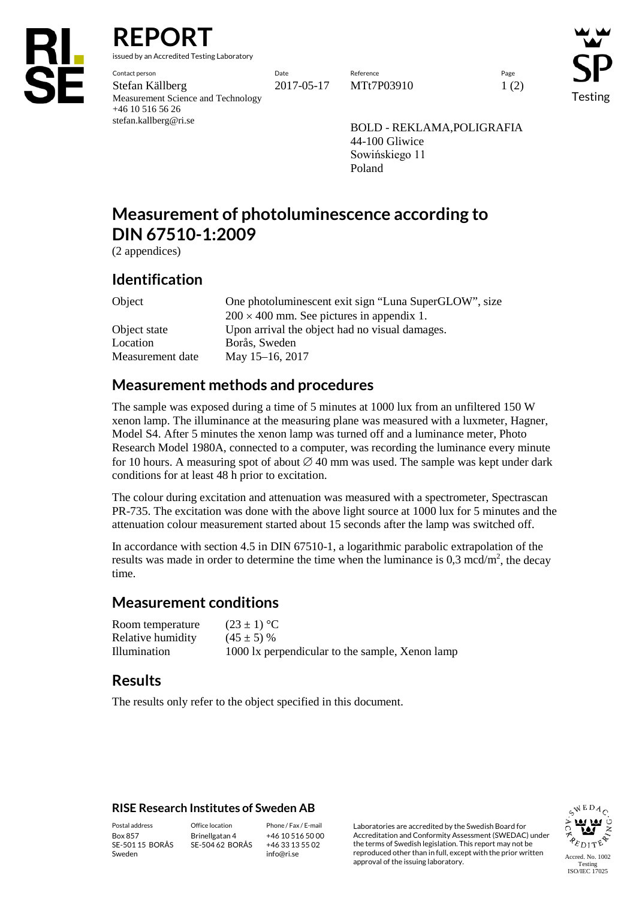

**REPORT**

issued by an Accredited Testing Laboratory

Contact person Date Reference Page Stefan Källberg 2017-05-17 MTt7P03910 1 (2) Measurement Science and Technology +46 10 516 56 26 stefan.kallberg@ri.se

Testing

BOLD - REKLAMA,POLIGRAFIA 44-100 Gliwice Sowińskiego 11 Poland

# **Measurement of photoluminescence according to DIN 67510-1:2009**

(2 appendices)

### **Identification**

Object One photoluminescent exit sign "Luna SuperGLOW", size  $200 \times 400$  mm. See pictures in appendix 1. Object state Upon arrival the object had no visual damages. Location Borås, Sweden Measurement date May 15–16, 2017

## **Measurement methods and procedures**

The sample was exposed during a time of 5 minutes at 1000 lux from an unfiltered 150 W xenon lamp. The illuminance at the measuring plane was measured with a luxmeter, Hagner, Model S4. After 5 minutes the xenon lamp was turned off and a luminance meter, Photo Research Model 1980A, connected to a computer, was recording the luminance every minute for 10 hours. A measuring spot of about  $\varnothing$  40 mm was used. The sample was kept under dark conditions for at least 48 h prior to excitation.

The colour during excitation and attenuation was measured with a spectrometer, Spectrascan PR-735. The excitation was done with the above light source at 1000 lux for 5 minutes and the attenuation colour measurement started about 15 seconds after the lamp was switched off.

In accordance with section 4.5 in DIN 67510-1, a logarithmic parabolic extrapolation of the results was made in order to determine the time when the luminance is  $0,3 \text{ mod/m}^2$ , the decay time.

### **Measurement conditions**

| Room temperature  | $(23 \pm 1) °C$                                 |
|-------------------|-------------------------------------------------|
| Relative humidity | $(45 \pm 5)$ %                                  |
| Illumination      | 1000 lx perpendicular to the sample, Xenon lamp |

### **Results**

The results only refer to the object specified in this document.

#### **RISE Research Institutes of Sweden AB**

Box 857 SE-501 15 BORÅS Sweden

Brinellgatan 4 SE-504 62 BORÅS

+46 10 516 50 00 +46 33 13 55 02 info@ri.se

Postal address Office location Phone / Fax / E-mail Laboratories are accredited by the Swedish Board for Accreditation and Conformity Assessment (SWEDAC) under the terms of Swedish legislation. This report may not be reproduced other than in full, except with the prior written approval of the issuing laboratory.

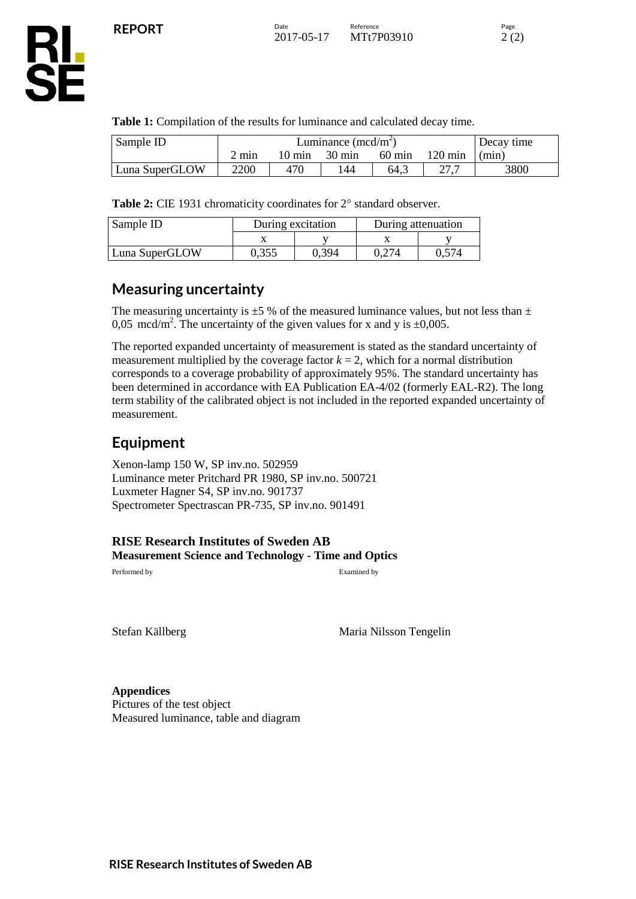

**RL<br>SE** 

| Sample ID      | Luminance $(\text{med/m}^2)$ |        |                  |                  |                   | Decay time |
|----------------|------------------------------|--------|------------------|------------------|-------------------|------------|
|                | $2~\mathrm{mm}$              | 10 min | $30 \text{ min}$ | $60 \text{ min}$ | $120 \text{ min}$ | (min)      |
| Luna SuperGLOW | 2200                         | 470    | 144              | 64.3             |                   | 3800       |

Table 2: CIE 1931 chromaticity coordinates for 2° standard observer.

| Sample ID      | During excitation |       | During attenuation |       |  |
|----------------|-------------------|-------|--------------------|-------|--|
|                |                   |       |                    |       |  |
| Luna SuperGLOW | 0.355             | 0.394 | 0.274              | 0.574 |  |

**Table 1:** Compilation of the results for luminance and calculated decay time.

### **Measuring uncertainty**

The measuring uncertainty is  $\pm 5$  % of the measured luminance values, but not less than  $\pm$ 0,05 mcd/m<sup>2</sup>. The uncertainty of the given values for x and y is  $\pm$ 0,005.

The reported expanded uncertainty of measurement is stated as the standard uncertainty of measurement multiplied by the coverage factor  $k = 2$ , which for a normal distribution corresponds to a coverage probability of approximately 95%. The standard uncertainty has been determined in accordance with EA Publication EA-4/02 (formerly EAL-R2). The long term stability of the calibrated object is not included in the reported expanded uncertainty of measurement.

## **Equipment**

Xenon-lamp 150 W, SP inv.no. 502959 Luminance meter Pritchard PR 1980, SP inv.no. 500721 Luxmeter Hagner S4, SP inv.no. 901737 Spectrometer Spectrascan PR-735, SP inv.no. 901491

**RISE Research Institutes of Sweden AB Measurement Science and Technology - Time and Optics**

Performed by Examined by

Stefan Källberg Maria Nilsson Tengelin

**Appendices**

Pictures of the test object Measured luminance, table and diagram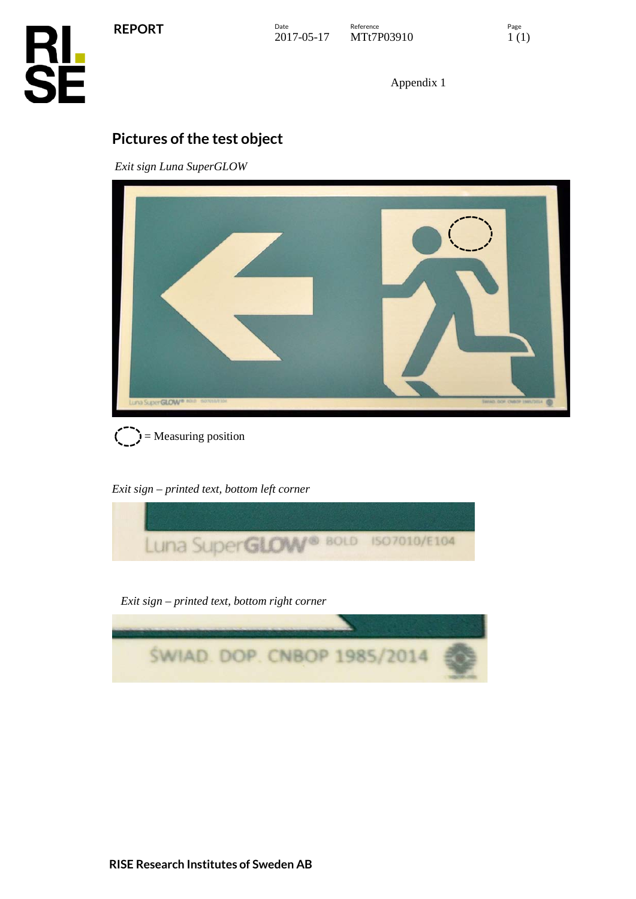**REPORT**



Appendix 1

# **Pictures of the test object**

*Exit sign Luna SuperGLOW*





*Exit sign – printed text, bottom left corner*



*Exit sign – printed text, bottom right corner*